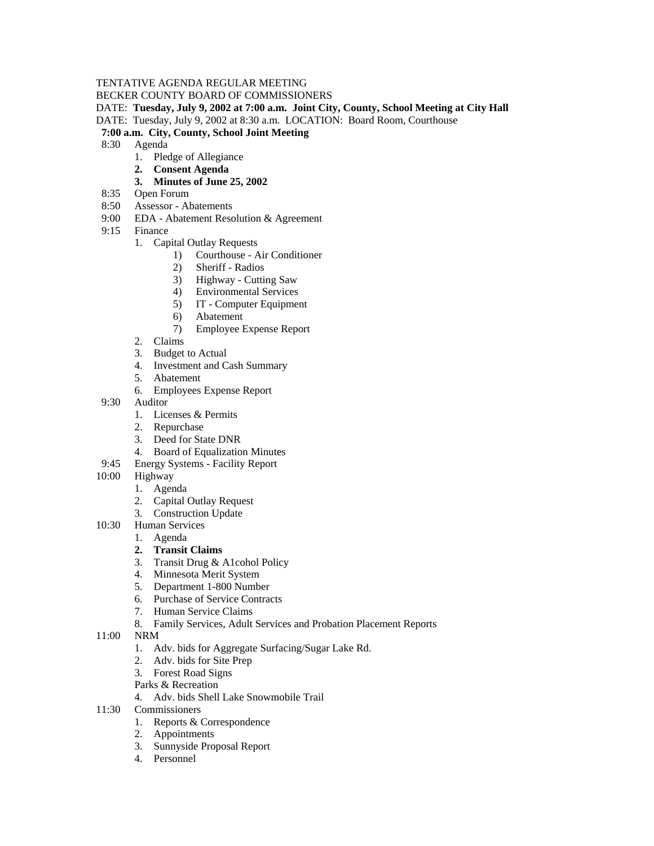## TENTATIVE AGENDA REGULAR MEETING

BECKER COUNTY BOARD OF COMMISSIONERS

DATE: **Tuesday, July 9, 2002 at 7:00 a.m. Joint City, County, School Meeting at City Hall**

DATE: Tuesday, July 9, 2002 at 8:30 a.m. LOCATION: Board Room, Courthouse

## **7:00 a.m. City, County, School Joint Meeting**

- 8:30 Agenda
	- 1. Pledge of Allegiance
	- **2. Consent Agenda**

## **3. Minutes of June 25, 2002**

- 8:35 Open Forum
- 8:50 Assessor Abatements
- 9:00 EDA Abatement Resolution & Agreement
- 9:15 Finance
	- 1. Capital Outlay Requests
		- 1) Courthouse Air Conditioner
		- 2) Sheriff Radios
		- 3) Highway Cutting Saw
		- 4) Environmental Services
		- 5) IT Computer Equipment
		- 6) Abatement
		- 7) Employee Expense Report
	- 2. Claims
	- 3. Budget to Actual
	- 4. Investment and Cash Summary
	- 5. Abatement
	- 6. Employees Expense Report
- 9:30 Auditor
	- 1. Licenses & Permits
	- 2. Repurchase
	- 3. Deed for State DNR
	- 4. Board of Equalization Minutes
- 9:45 Energy Systems Facility Report
- 10:00 Highway
	- 1. Agenda
		- 2. Capital Outlay Request
		- 3. Construction Update
- 10:30 Human Services
	- 1. Agenda
	- **2. Transit Claims**
	- 3. Transit Drug & A1cohol Policy
	- 4. Minnesota Merit System
	- 5. Department 1-800 Number
	- 6. Purchase of Service Contracts
	- 7. Human Service Claims
	- 8. Family Services, Adult Services and Probation Placement Reports
- 11:00 NRM
	- 1. Adv. bids for Aggregate Surfacing/Sugar Lake Rd.
	- 2. Adv. bids for Site Prep
	- 3. Forest Road Signs
	- Parks & Recreation
	- 4. Adv. bids Shell Lake Snowmobile Trail
- 11:30 Commissioners
	- 1. Reports & Correspondence
	- 2. Appointments
	- 3. Sunnyside Proposal Report
	- 4. Personnel